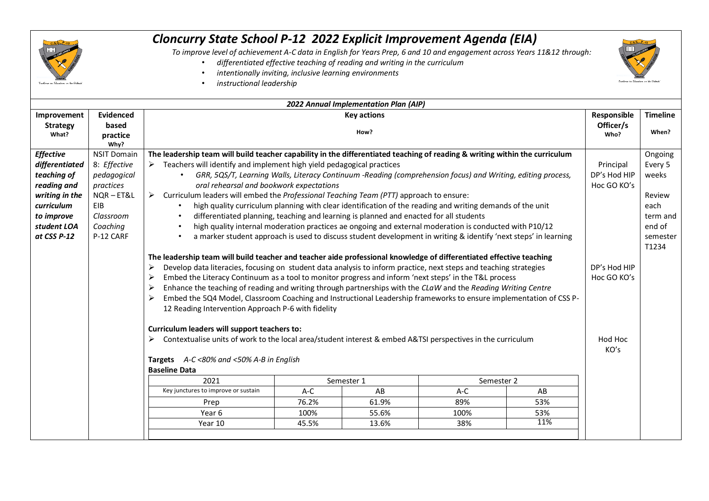

## *Cloncurry State School P-12 2022 Explicit Improvement Agenda (EIA)*

*To improve level of achievement A-C data in English for Years Prep, 6 and 10 and engagement across Years 11&12 through:*

- *differentiated effective teaching of reading and writing in the curriculum*
- *intentionally inviting, inclusive learning environments*
- *instructional leadership*



| 2022 Annual Implementation Plan (AIP) |                      |                                                                                                                              |              |          |            |     |  |                 |  |  |  |
|---------------------------------------|----------------------|------------------------------------------------------------------------------------------------------------------------------|--------------|----------|------------|-----|--|-----------------|--|--|--|
| Improvement                           | <b>Evidenced</b>     | <b>Key actions</b>                                                                                                           |              |          |            |     |  | <b>Timeline</b> |  |  |  |
| <b>Strategy</b>                       | based                | How?                                                                                                                         |              |          |            |     |  |                 |  |  |  |
| What?                                 | practice             |                                                                                                                              | Who?         | When?    |            |     |  |                 |  |  |  |
|                                       | Why?                 |                                                                                                                              |              |          |            |     |  |                 |  |  |  |
| <b>Effective</b>                      | <b>NSIT Domain</b>   | The leadership team will build teacher capability in the differentiated teaching of reading & writing within the curriculum  |              |          |            |     |  | Ongoing         |  |  |  |
| differentiated                        | 8: Effective         | $\triangleright$ Teachers will identify and implement high yield pedagogical practices                                       |              |          |            |     |  | Every 5         |  |  |  |
| teaching of                           | pedagogical          | GRR, 5QS/T, Learning Walls, Literacy Continuum -Reading (comprehension focus) and Writing, editing process,<br>$\bullet$     |              |          |            |     |  | weeks           |  |  |  |
| reading and                           | practices            | oral rehearsal and bookwork expectations                                                                                     | Hoc GO KO's  |          |            |     |  |                 |  |  |  |
| writing in the                        | NQR-ET&L             | > Curriculum leaders will embed the Professional Teaching Team (PTT) approach to ensure:                                     |              | Review   |            |     |  |                 |  |  |  |
| curriculum                            | EIB                  | high quality curriculum planning with clear identification of the reading and writing demands of the unit                    |              | each     |            |     |  |                 |  |  |  |
| to improve                            | Classroom            | differentiated planning, teaching and learning is planned and enacted for all students                                       |              | term and |            |     |  |                 |  |  |  |
| student LOA                           | Coaching             | high quality internal moderation practices ae ongoing and external moderation is conducted with P10/12                       |              | end of   |            |     |  |                 |  |  |  |
| at CSS P-12                           | P-12 CARF            | a marker student approach is used to discuss student development in writing & identify 'next steps' in learning<br>$\bullet$ |              | semester |            |     |  |                 |  |  |  |
|                                       |                      |                                                                                                                              |              | T1234    |            |     |  |                 |  |  |  |
|                                       |                      | The leadership team will build teacher and teacher aide professional knowledge of differentiated effective teaching          |              |          |            |     |  |                 |  |  |  |
|                                       |                      | Develop data literacies, focusing on student data analysis to inform practice, next steps and teaching strategies<br>➤       | DP's Hod HIP |          |            |     |  |                 |  |  |  |
|                                       |                      | ➤<br>Embed the Literacy Continuum as a tool to monitor progress and inform 'next steps' in the T&L process                   | Hoc GO KO's  |          |            |     |  |                 |  |  |  |
|                                       |                      | Enhance the teaching of reading and writing through partnerships with the CLaW and the Reading Writing Centre                |              |          |            |     |  |                 |  |  |  |
|                                       |                      | Embed the 5Q4 Model, Classroom Coaching and Instructional Leadership frameworks to ensure implementation of CSS P-<br>➤      |              |          |            |     |  |                 |  |  |  |
|                                       |                      | 12 Reading Intervention Approach P-6 with fidelity                                                                           |              |          |            |     |  |                 |  |  |  |
|                                       |                      | Curriculum leaders will support teachers to:                                                                                 |              |          |            |     |  |                 |  |  |  |
|                                       |                      | Contextualise units of work to the local area/student interest & embed A&TSI perspectives in the curriculum<br>➤             | Hod Hoc      |          |            |     |  |                 |  |  |  |
|                                       |                      |                                                                                                                              | KO's         |          |            |     |  |                 |  |  |  |
|                                       |                      | Targets A-C <80% and <50% A-B in English                                                                                     |              |          |            |     |  |                 |  |  |  |
|                                       | <b>Baseline Data</b> |                                                                                                                              |              |          |            |     |  |                 |  |  |  |
|                                       |                      | 2021                                                                                                                         | Semester 1   |          | Semester 2 |     |  |                 |  |  |  |
|                                       |                      | Key junctures to improve or sustain                                                                                          | A-C          | AB       | A-C        | AB  |  |                 |  |  |  |
|                                       |                      | Prep                                                                                                                         | 76.2%        | 61.9%    | 89%        | 53% |  |                 |  |  |  |
|                                       |                      | Year 6                                                                                                                       | 100%         | 55.6%    | 100%       | 53% |  |                 |  |  |  |
|                                       |                      | Year 10                                                                                                                      | 45.5%        | 13.6%    | 38%        | 11% |  |                 |  |  |  |
|                                       |                      |                                                                                                                              |              |          |            |     |  |                 |  |  |  |